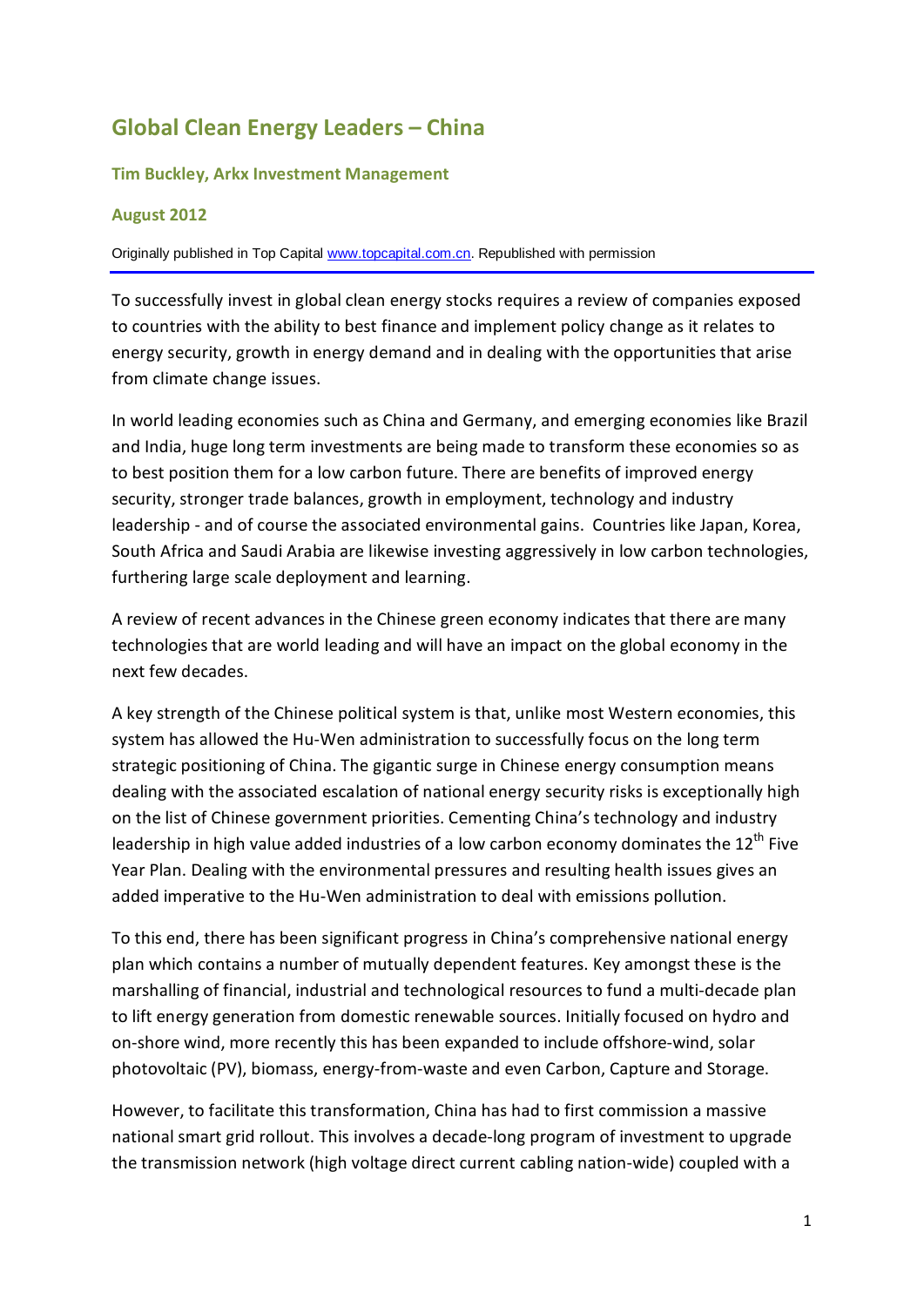# **Global Clean Energy Leaders – China**

#### **Tim Buckley, Arkx Investment Management**

#### **August 2012**

Originally published in Top Capital [www.topcapital.com.cn.](http://www.topcapital.com.cn/) Republished with permission

To successfully invest in global clean energy stocks requires a review of companies exposed to countries with the ability to best finance and implement policy change as it relates to energy security, growth in energy demand and in dealing with the opportunities that arise from climate change issues.

In world leading economies such as China and Germany, and emerging economies like Brazil and India, huge long term investments are being made to transform these economies so as to best position them for a low carbon future. There are benefits of improved energy security, stronger trade balances, growth in employment, technology and industry leadership - and of course the associated environmental gains. Countries like Japan, Korea, South Africa and Saudi Arabia are likewise investing aggressively in low carbon technologies, furthering large scale deployment and learning.

A review of recent advances in the Chinese green economy indicates that there are many technologies that are world leading and will have an impact on the global economy in the next few decades.

A key strength of the Chinese political system is that, unlike most Western economies, this system has allowed the Hu-Wen administration to successfully focus on the long term strategic positioning of China. The gigantic surge in Chinese energy consumption means dealing with the associated escalation of national energy security risks is exceptionally high on the list of Chinese government priorities. Cementing China's technology and industry leadership in high value added industries of a low carbon economy dominates the 12<sup>th</sup> Five Year Plan. Dealing with the environmental pressures and resulting health issues gives an added imperative to the Hu-Wen administration to deal with emissions pollution.

To this end, there has been significant progress in China's comprehensive national energy plan which contains a number of mutually dependent features. Key amongst these is the marshalling of financial, industrial and technological resources to fund a multi-decade plan to lift energy generation from domestic renewable sources. Initially focused on hydro and on-shore wind, more recently this has been expanded to include offshore-wind, solar photovoltaic (PV), biomass, energy-from-waste and even Carbon, Capture and Storage.

However, to facilitate this transformation, China has had to first commission a massive national smart grid rollout. This involves a decade-long program of investment to upgrade the transmission network (high voltage direct current cabling nation-wide) coupled with a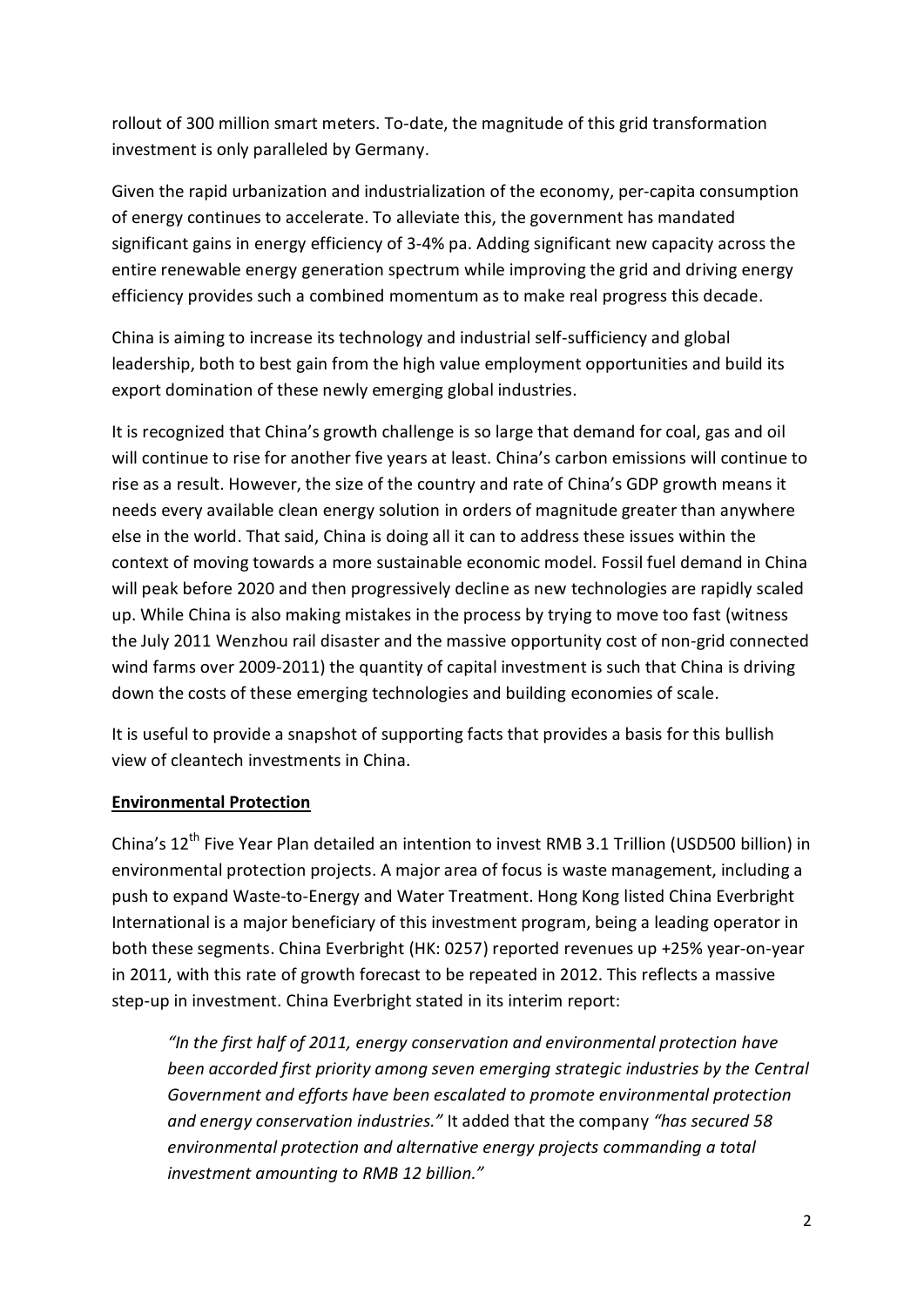rollout of 300 million smart meters. To-date, the magnitude of this grid transformation investment is only paralleled by Germany.

Given the rapid urbanization and industrialization of the economy, per-capita consumption of energy continues to accelerate. To alleviate this, the government has mandated significant gains in energy efficiency of 3-4% pa. Adding significant new capacity across the entire renewable energy generation spectrum while improving the grid and driving energy efficiency provides such a combined momentum as to make real progress this decade.

China is aiming to increase its technology and industrial self-sufficiency and global leadership, both to best gain from the high value employment opportunities and build its export domination of these newly emerging global industries.

It is recognized that China's growth challenge is so large that demand for coal, gas and oil will continue to rise for another five years at least. China's carbon emissions will continue to rise as a result. However, the size of the country and rate of China's GDP growth means it needs every available clean energy solution in orders of magnitude greater than anywhere else in the world. That said, China is doing all it can to address these issues within the context of moving towards a more sustainable economic model. Fossil fuel demand in China will peak before 2020 and then progressively decline as new technologies are rapidly scaled up. While China is also making mistakes in the process by trying to move too fast (witness the July 2011 Wenzhou rail disaster and the massive opportunity cost of non-grid connected wind farms over 2009-2011) the quantity of capital investment is such that China is driving down the costs of these emerging technologies and building economies of scale.

It is useful to provide a snapshot of supporting facts that provides a basis for this bullish view of cleantech investments in China.

## **Environmental Protection**

China's 12<sup>th</sup> Five Year Plan detailed an intention to invest RMB 3.1 Trillion (USD500 billion) in environmental protection projects. A major area of focus is waste management, including a push to expand Waste-to-Energy and Water Treatment. Hong Kong listed China Everbright International is a major beneficiary of this investment program, being a leading operator in both these segments. China Everbright (HK: 0257) reported revenues up +25% year-on-year in 2011, with this rate of growth forecast to be repeated in 2012. This reflects a massive step-up in investment. China Everbright stated in its interim report:

*"In the first half of 2011, energy conservation and environmental protection have been accorded first priority among seven emerging strategic industries by the Central Government and efforts have been escalated to promote environmental protection and energy conservation industries."* It added that the company *"has secured 58 environmental protection and alternative energy projects commanding a total investment amounting to RMB 12 billion."*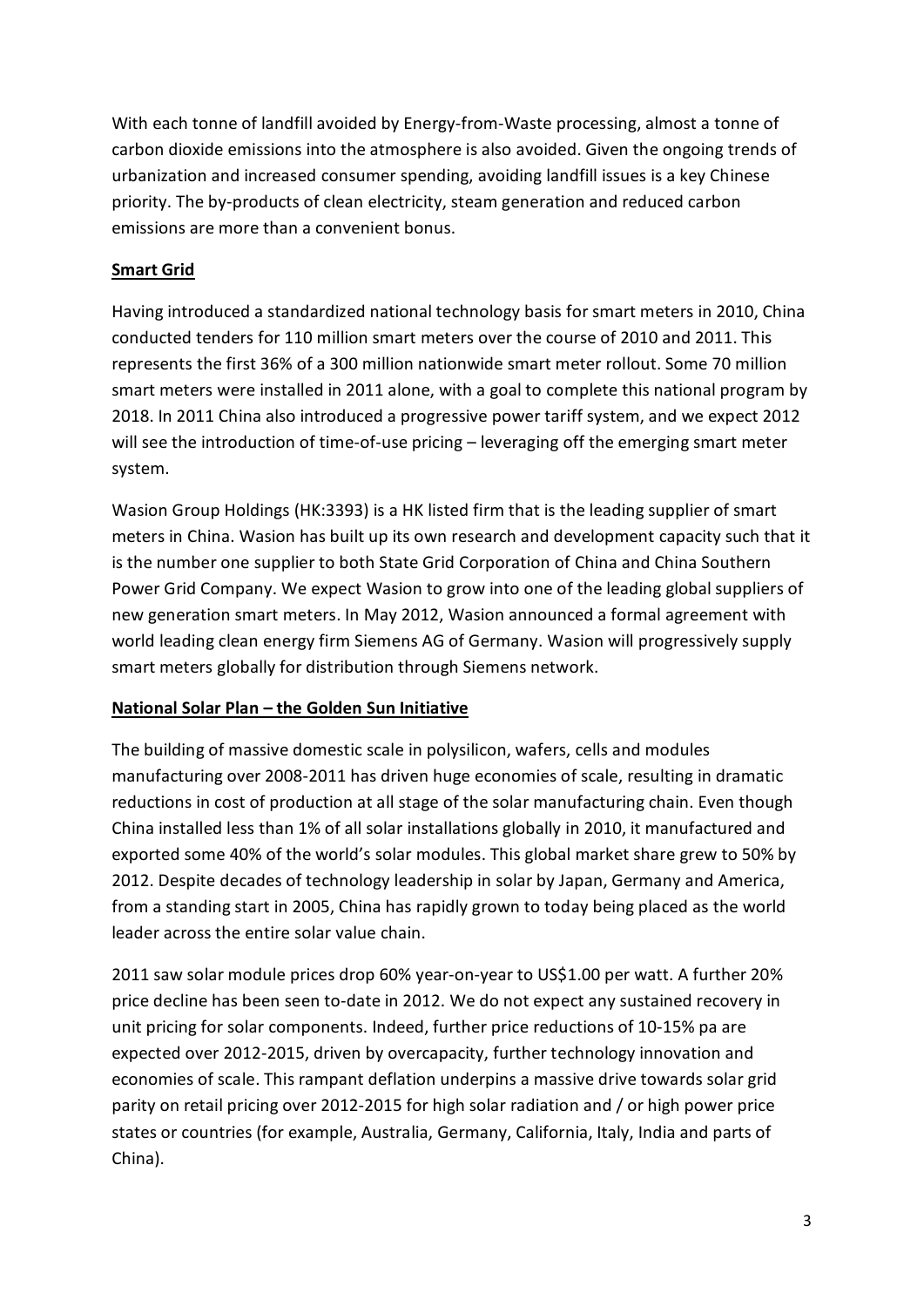With each tonne of landfill avoided by Energy-from-Waste processing, almost a tonne of carbon dioxide emissions into the atmosphere is also avoided. Given the ongoing trends of urbanization and increased consumer spending, avoiding landfill issues is a key Chinese priority. The by-products of clean electricity, steam generation and reduced carbon emissions are more than a convenient bonus.

## **Smart Grid**

Having introduced a standardized national technology basis for smart meters in 2010, China conducted tenders for 110 million smart meters over the course of 2010 and 2011. This represents the first 36% of a 300 million nationwide smart meter rollout. Some 70 million smart meters were installed in 2011 alone, with a goal to complete this national program by 2018. In 2011 China also introduced a progressive power tariff system, and we expect 2012 will see the introduction of time-of-use pricing – leveraging off the emerging smart meter system.

Wasion Group Holdings (HK:3393) is a HK listed firm that is the leading supplier of smart meters in China. Wasion has built up its own research and development capacity such that it is the number one supplier to both State Grid Corporation of China and China Southern Power Grid Company. We expect Wasion to grow into one of the leading global suppliers of new generation smart meters. In May 2012, Wasion announced a formal agreement with world leading clean energy firm Siemens AG of Germany. Wasion will progressively supply smart meters globally for distribution through Siemens network.

## **National Solar Plan – the Golden Sun Initiative**

The building of massive domestic scale in polysilicon, wafers, cells and modules manufacturing over 2008-2011 has driven huge economies of scale, resulting in dramatic reductions in cost of production at all stage of the solar manufacturing chain. Even though China installed less than 1% of all solar installations globally in 2010, it manufactured and exported some 40% of the world's solar modules. This global market share grew to 50% by 2012. Despite decades of technology leadership in solar by Japan, Germany and America, from a standing start in 2005, China has rapidly grown to today being placed as the world leader across the entire solar value chain.

2011 saw solar module prices drop 60% year-on-year to US\$1.00 per watt. A further 20% price decline has been seen to-date in 2012. We do not expect any sustained recovery in unit pricing for solar components. Indeed, further price reductions of 10-15% pa are expected over 2012-2015, driven by overcapacity, further technology innovation and economies of scale. This rampant deflation underpins a massive drive towards solar grid parity on retail pricing over 2012-2015 for high solar radiation and / or high power price states or countries (for example, Australia, Germany, California, Italy, India and parts of China).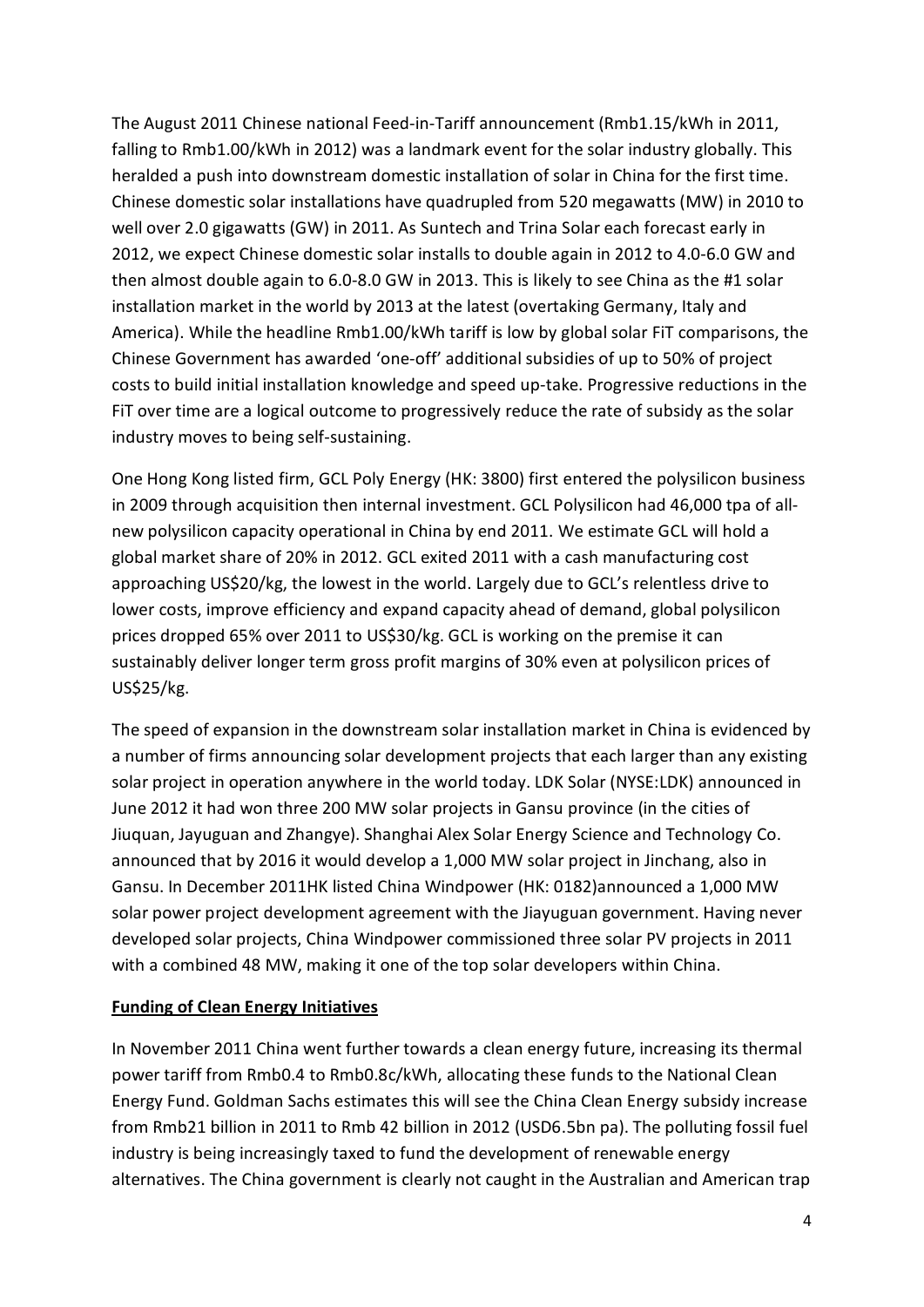The August 2011 Chinese national Feed-in-Tariff announcement (Rmb1.15/kWh in 2011, falling to Rmb1.00/kWh in 2012) was a landmark event for the solar industry globally. This heralded a push into downstream domestic installation of solar in China for the first time. Chinese domestic solar installations have quadrupled from 520 megawatts (MW) in 2010 to well over 2.0 gigawatts (GW) in 2011. As Suntech and Trina Solar each forecast early in 2012, we expect Chinese domestic solar installs to double again in 2012 to 4.0-6.0 GW and then almost double again to 6.0-8.0 GW in 2013. This is likely to see China as the #1 solar installation market in the world by 2013 at the latest (overtaking Germany, Italy and America). While the headline Rmb1.00/kWh tariff is low by global solar FiT comparisons, the Chinese Government has awarded 'one-off' additional subsidies of up to 50% of project costs to build initial installation knowledge and speed up-take. Progressive reductions in the FiT over time are a logical outcome to progressively reduce the rate of subsidy as the solar industry moves to being self-sustaining.

One Hong Kong listed firm, GCL Poly Energy (HK: 3800) first entered the polysilicon business in 2009 through acquisition then internal investment. GCL Polysilicon had 46,000 tpa of allnew polysilicon capacity operational in China by end 2011. We estimate GCL will hold a global market share of 20% in 2012. GCL exited 2011 with a cash manufacturing cost approaching US\$20/kg, the lowest in the world. Largely due to GCL's relentless drive to lower costs, improve efficiency and expand capacity ahead of demand, global polysilicon prices dropped 65% over 2011 to US\$30/kg. GCL is working on the premise it can sustainably deliver longer term gross profit margins of 30% even at polysilicon prices of US\$25/kg.

The speed of expansion in the downstream solar installation market in China is evidenced by a number of firms announcing solar development projects that each larger than any existing solar project in operation anywhere in the world today. LDK Solar (NYSE:LDK) announced in June 2012 it had won three 200 MW solar projects in Gansu province (in the cities of Jiuquan, Jayuguan and Zhangye). Shanghai Alex Solar Energy Science and Technology Co. announced that by 2016 it would develop a 1,000 MW solar project in Jinchang, also in Gansu. In December 2011HK listed China Windpower (HK: 0182)announced a 1,000 MW solar power project development agreement with the Jiayuguan government. Having never developed solar projects, China Windpower commissioned three solar PV projects in 2011 with a combined 48 MW, making it one of the top solar developers within China.

## **Funding of Clean Energy Initiatives**

In November 2011 China went further towards a clean energy future, increasing its thermal power tariff from Rmb0.4 to Rmb0.8c/kWh, allocating these funds to the National Clean Energy Fund. Goldman Sachs estimates this will see the China Clean Energy subsidy increase from Rmb21 billion in 2011 to Rmb 42 billion in 2012 (USD6.5bn pa). The polluting fossil fuel industry is being increasingly taxed to fund the development of renewable energy alternatives. The China government is clearly not caught in the Australian and American trap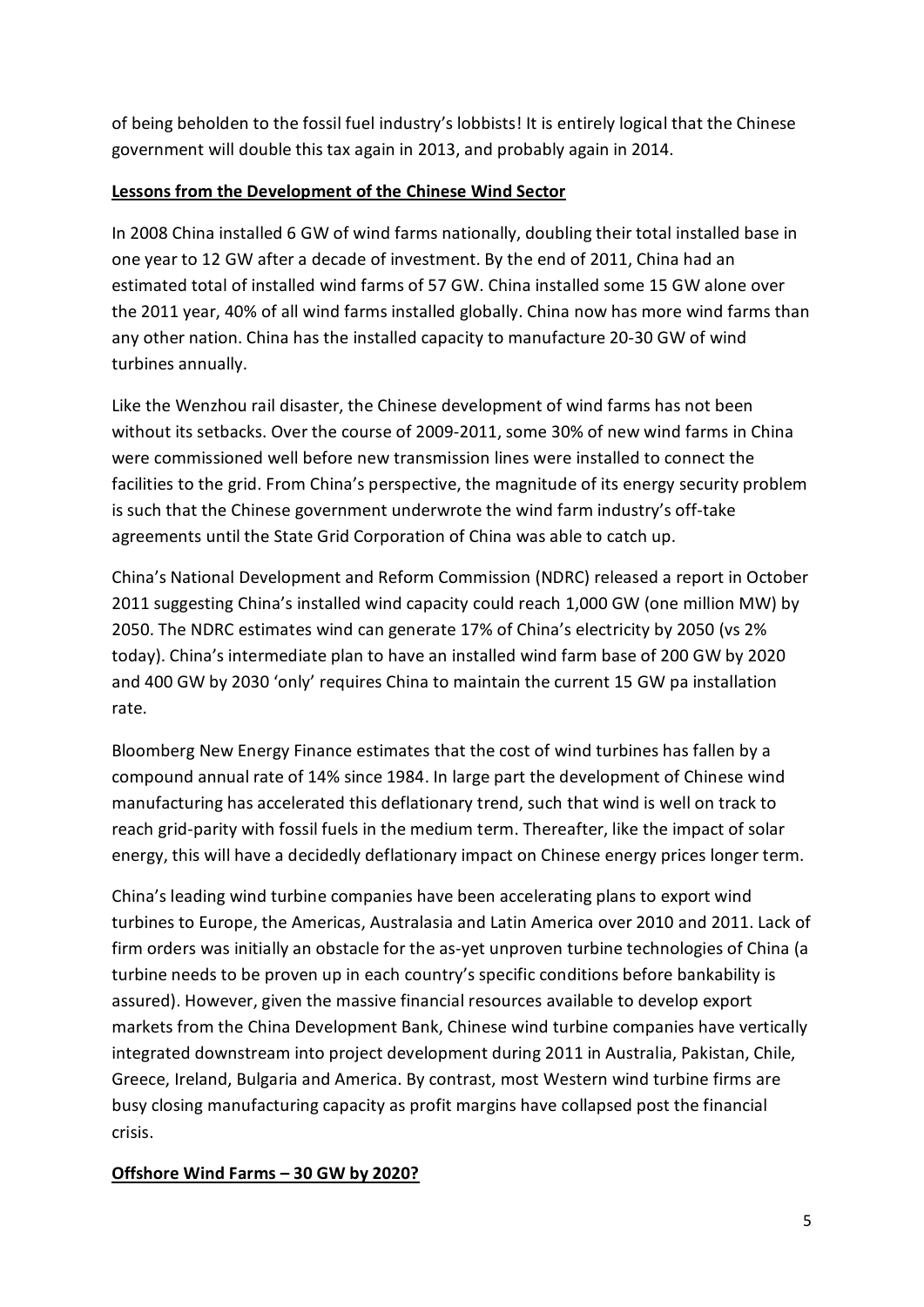of being beholden to the fossil fuel industry's lobbists! It is entirely logical that the Chinese government will double this tax again in 2013, and probably again in 2014.

## **Lessons from the Development of the Chinese Wind Sector**

In 2008 China installed 6 GW of wind farms nationally, doubling their total installed base in one year to 12 GW after a decade of investment. By the end of 2011, China had an estimated total of installed wind farms of 57 GW. China installed some 15 GW alone over the 2011 year, 40% of all wind farms installed globally. China now has more wind farms than any other nation. China has the installed capacity to manufacture 20-30 GW of wind turbines annually.

Like the Wenzhou rail disaster, the Chinese development of wind farms has not been without its setbacks. Over the course of 2009-2011, some 30% of new wind farms in China were commissioned well before new transmission lines were installed to connect the facilities to the grid. From China's perspective, the magnitude of its energy security problem is such that the Chinese government underwrote the wind farm industry's off-take agreements until the State Grid Corporation of China was able to catch up.

China's National Development and Reform Commission (NDRC) released a report in October 2011 suggesting China's installed wind capacity could reach 1,000 GW (one million MW) by 2050. The NDRC estimates wind can generate 17% of China's electricity by 2050 (vs 2% today). China's intermediate plan to have an installed wind farm base of 200 GW by 2020 and 400 GW by 2030 'only' requires China to maintain the current 15 GW pa installation rate.

Bloomberg New Energy Finance estimates that the cost of wind turbines has fallen by a compound annual rate of 14% since 1984. In large part the development of Chinese wind manufacturing has accelerated this deflationary trend, such that wind is well on track to reach grid-parity with fossil fuels in the medium term. Thereafter, like the impact of solar energy, this will have a decidedly deflationary impact on Chinese energy prices longer term.

China's leading wind turbine companies have been accelerating plans to export wind turbines to Europe, the Americas, Australasia and Latin America over 2010 and 2011. Lack of firm orders was initially an obstacle for the as-yet unproven turbine technologies of China (a turbine needs to be proven up in each country's specific conditions before bankability is assured). However, given the massive financial resources available to develop export markets from the China Development Bank, Chinese wind turbine companies have vertically integrated downstream into project development during 2011 in Australia, Pakistan, Chile, Greece, Ireland, Bulgaria and America. By contrast, most Western wind turbine firms are busy closing manufacturing capacity as profit margins have collapsed post the financial crisis.

# **Offshore Wind Farms – 30 GW by 2020?**